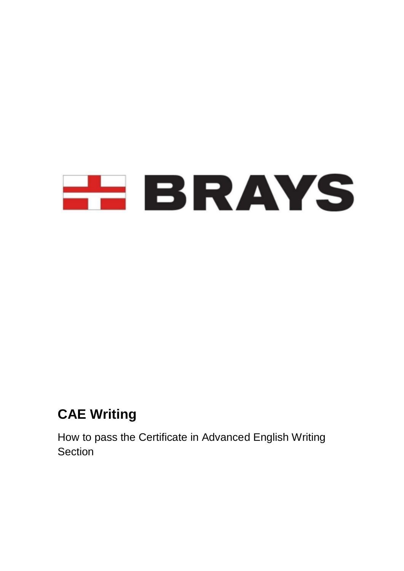

# **CAE Writing**

How to pass the Certificate in Advanced English Writing **Section**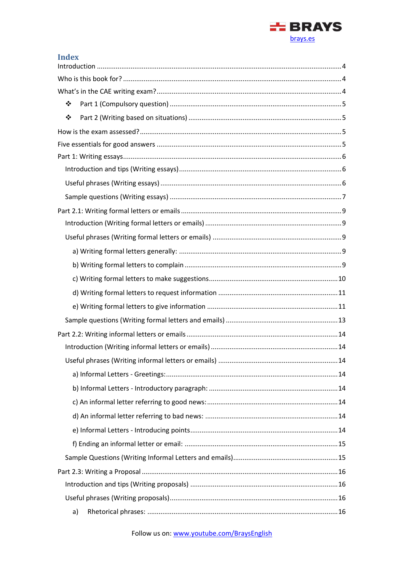

| <b>Index</b> |
|--------------|
|              |
|              |
|              |
| ❖            |
| $\bullet$    |
|              |
|              |
|              |
|              |
|              |
|              |
|              |
|              |
|              |
|              |
|              |
|              |
|              |
|              |
|              |
|              |
|              |
|              |
|              |
|              |
|              |
|              |
|              |
|              |
|              |
|              |
|              |
|              |
| a)           |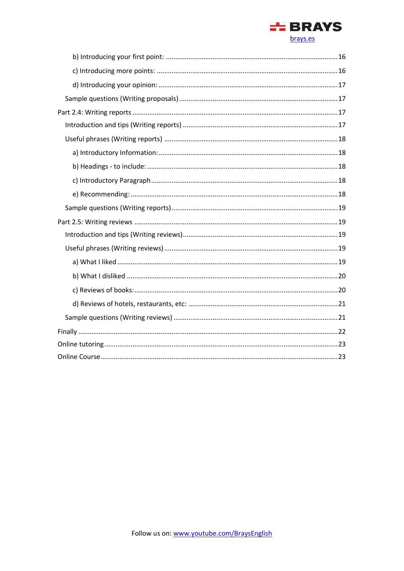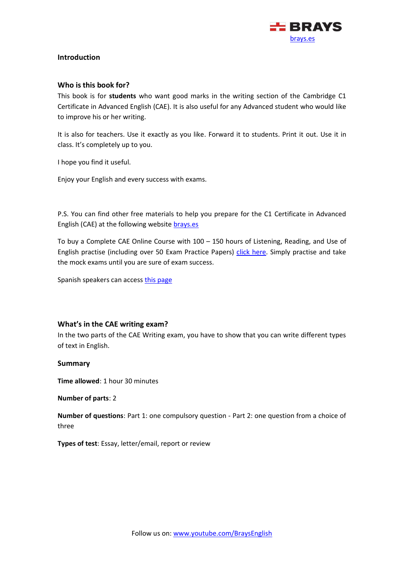

# <span id="page-3-1"></span><span id="page-3-0"></span>**Introduction**

## **Who is this book for?**

This book is for **students** who want good marks in the writing section of the Cambridge C1 Certificate in Advanced English (CAE). It is also useful for any Advanced student who would like to improve his or her writing.

It is also for teachers. Use it exactly as you like. Forward it to students. Print it out. Use it in class. It's completely up to you.

I hope you find it useful.

Enjoy your English and every success with exams.

P.S. You can find other free materials to help you prepare for the C1 Certificate in Advanced English (CAE) at the following website [brays.es](https://brays.es/)

To buy a Complete CAE Online Course with  $100 - 150$  hours of Listening, Reading, and Use of English practise (including over 50 Exam Practice Papers) [click here.](https://brays.es/online/descripcion/) Simply practise and take the mock exams until you are sure of exam success.

Spanish speakers can access [this page](https://brays.es/online/descripcion/)

# <span id="page-3-2"></span>**What's in the CAE writing exam?**

In the two parts of the CAE Writing exam, you have to show that you can write different types of text in English.

#### **Summary**

**Time allowed**: 1 hour 30 minutes

**Number of parts**: 2

**Number of questions**: Part 1: one compulsory question - Part 2: one question from a choice of three

**Types of test**: Essay, letter/email, report or review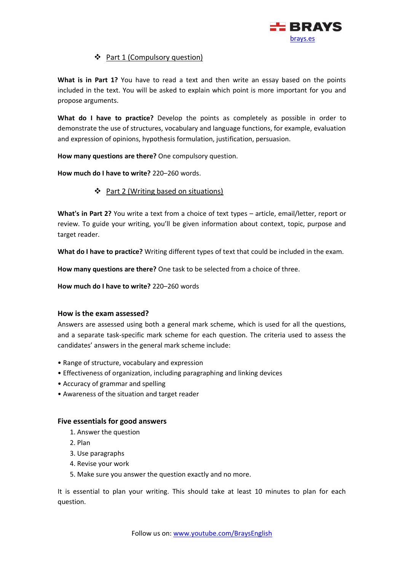

# ❖ Part 1 (Compulsory question)

<span id="page-4-0"></span>**What is in Part 1?** You have to read a text and then write an essay based on the points included in the text. You will be asked to explain which point is more important for you and propose arguments.

**What do I have to practice?** Develop the points as completely as possible in order to demonstrate the use of structures, vocabulary and language functions, for example, evaluation and expression of opinions, hypothesis formulation, justification, persuasion.

**How many questions are there?** One compulsory question.

<span id="page-4-1"></span>**How much do I have to write?** 220–260 words.

# ❖ Part 2 (Writing based on situations)

**What's in Part 2?** You write a text from a choice of text types – article, email/letter, report or review. To guide your writing, you'll be given information about context, topic, purpose and target reader.

**What do I have to practice?** Writing different types of text that could be included in the exam.

**How many questions are there?** One task to be selected from a choice of three.

**How much do I have to write?** 220–260 words

# <span id="page-4-2"></span>**How is the exam assessed?**

Answers are assessed using both a general mark scheme, which is used for all the questions, and a separate task-specific mark scheme for each question. The criteria used to assess the candidates' answers in the general mark scheme include:

- Range of structure, vocabulary and expression
- Effectiveness of organization, including paragraphing and linking devices
- Accuracy of grammar and spelling
- Awareness of the situation and target reader

# <span id="page-4-3"></span>**Five essentials for good answers**

- 1. Answer the question
- 2. Plan
- 3. Use paragraphs
- 4. Revise your work
- 5. Make sure you answer the question exactly and no more.

It is essential to plan your writing. This should take at least 10 minutes to plan for each question.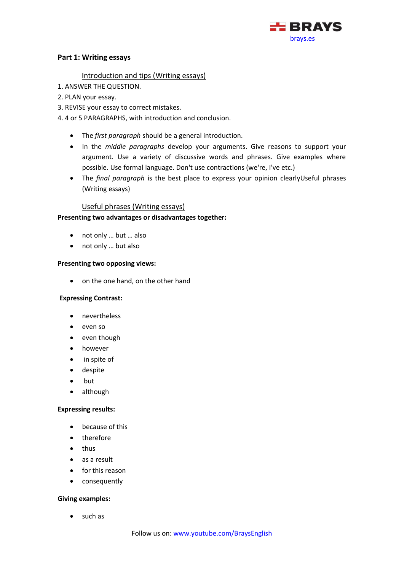

## <span id="page-5-1"></span><span id="page-5-0"></span>**Part 1: Writing essays**

### Introduction and tips (Writing essays)

- 1. ANSWER THE QUESTION.
- 2. PLAN your essay.
- 3. REVISE your essay to correct mistakes.
- 4. 4 or 5 PARAGRAPHS, with introduction and conclusion.
	- The *first paragraph* should be a general introduction.
	- In the *middle paragraphs* develop your arguments. Give reasons to support your argument. Use a variety of discussive words and phrases. Give examples where possible. Use formal language. Don't use contractions (we're, I've etc.)
	- The *final paragraph* is the best place to express your opinion clearlyUseful phrases (Writing essays)

## Useful phrases (Writing essays)

## <span id="page-5-2"></span>**Presenting two advantages or disadvantages together:**

- not only … but … also
- not only … but also

#### **Presenting two opposing views:**

• on the one hand, on the other hand

#### **Expressing Contrast:**

- nevertheless
- even so
- even though
- however
- in spite of
- despite
- but
- although

#### **Expressing results:**

- because of this
- therefore
- thus
- as a result
- for this reason
- consequently

#### **Giving examples:**

• such as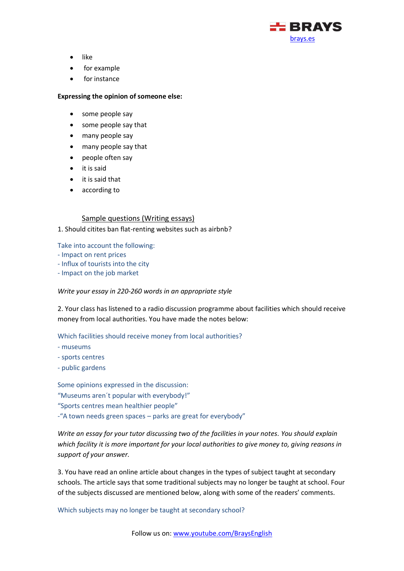

- like
- for example
- for instance

#### **Expressing the opinion of someone else:**

- some people say
- some people say that
- many people say
- many people say that
- people often say
- it is said
- it is said that
- according to

#### Sample questions (Writing essays)

#### <span id="page-6-0"></span>1. Should citites ban flat-renting websites such as airbnb?

Take into account the following:

- Impact on rent prices
- Influx of tourists into the city
- Impact on the job market

#### *Write your essay in 220-260 words in an appropriate style*

2. Your class has listened to a radio discussion programme about facilities which should receive money from local authorities. You have made the notes below:

Which facilities should receive money from local authorities?

- museums
- sports centres
- public gardens

Some opinions expressed in the discussion: "Museums aren´t popular with everybody!" "Sports centres mean healthier people" -"A town needs green spaces – parks are great for everybody"

*Write an essay for your tutor discussing two of the facilities in your notes. You should explain which facility it is more important for your local authorities to give money to, giving reasons in support of your answer.*

3. You have read an online article about changes in the types of subject taught at secondary schools. The article says that some traditional subjects may no longer be taught at school. Four of the subjects discussed are mentioned below, along with some of the readers' comments.

Which subjects may no longer be taught at secondary school?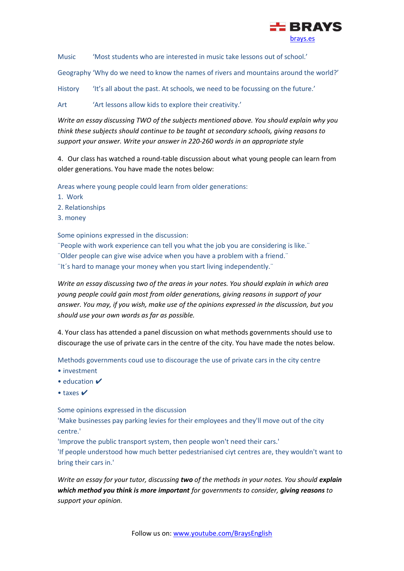

Music 'Most students who are interested in music take lessons out of school.'

Geography 'Why do we need to know the names of rivers and mountains around the world?'

History 'It's all about the past. At schools, we need to be focussing on the future.'

Art 'Art lessons allow kids to explore their creativity.'

*Write an essay discussing TWO of the subjects mentioned above. You should explain why you think these subjects should continue to be taught at secondary schools, giving reasons to support your answer. Write your answer in 220-260 words in an appropriate style*

4. Our class has watched a round-table discussion about what young people can learn from older generations. You have made the notes below:

Areas where young people could learn from older generations:

- 1. Work
- 2. Relationships
- 3. money

Some opinions expressed in the discussion:

¨People with work experience can tell you what the job you are considering is like.¨ ¨Older people can give wise advice when you have a problem with a friend.¨

¨It´s hard to manage your money when you start living independently.¨

*Write an essay discussing two of the areas in your notes. You should explain in which area young people could gain most from older generations, giving reasons in support of your answer. You may, if you wish, make use of the opinions expressed in the discussion, but you should use your own words as far as possible.*

4. Your class has attended a panel discussion on what methods governments should use to discourage the use of private cars in the centre of the city. You have made the notes below.

Methods governments coud use to discourage the use of private cars in the city centre

- investment
- education  $\checkmark$
- taxes  $V$

Some opinions expressed in the discussion

'Make businesses pay parking levies for their employees and they'll move out of the city centre.'

'Improve the public transport system, then people won't need their cars.'

'If people understood how much better pedestrianised ciyt centres are, they wouldn't want to bring their cars in.'

*Write an essay for your tutor, discussing two of the methods in your notes. You should explain which method you think is more important for governments to consider, giving reasons to support your opinion.*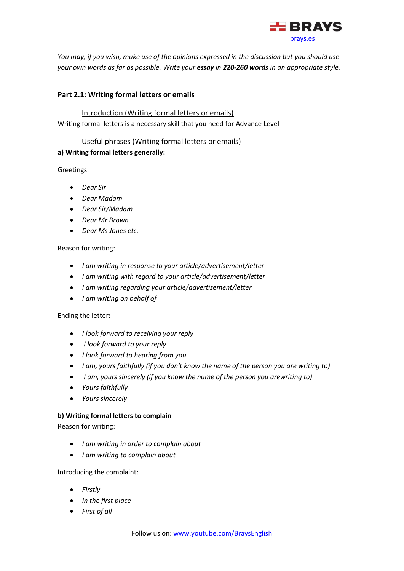

*You may, if you wish, make use of the opinions expressed in the discussion but you should use your own words as far as possible. Write your essay in 220-260 words in an appropriate style.*

# <span id="page-8-1"></span><span id="page-8-0"></span>**Part 2.1: Writing formal letters or emails**

## Introduction (Writing formal letters or emails)

Writing formal letters is a necessary skill that you need for Advance Level

## Useful phrases (Writing formal letters or emails)

# <span id="page-8-3"></span><span id="page-8-2"></span>**a) Writing formal letters generally:**

Greetings:

- *Dear Sir*
- *Dear Madam*
- *Dear Sir/Madam*
- *Dear Mr Brown*
- *Dear Ms Jones etc.*

#### Reason for writing:

- *I am writing in response to your article/advertisement/letter*
- *I am writing with regard to your article/advertisement/letter*
- *I am writing regarding your article/advertisement/letter*
- *I am writing on behalf of*

#### Ending the letter:

- *I look forward to receiving your reply*
- *I look forward to your reply*
- *I look forward to hearing from you*
- *I am, yours faithfully (if you don't know the name of the person you are writing to)*
- *I am, yours sincerely (if you know the name of the person you arewriting to)*
- *Yours faithfully*
- *Yours sincerely*

#### <span id="page-8-4"></span>**b) Writing formal letters to complain**

Reason for writing:

- *I am writing in order to complain about*
- *I am writing to complain about*

Introducing the complaint:

- *Firstly*
- *In the first place*
- *First of all*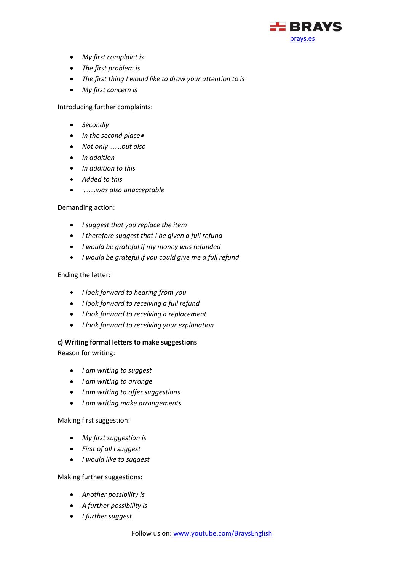

- *My first complaint is*
- *The first problem is*
- *The first thing I would like to draw your attention to is*
- *My first concern is*

Introducing further complaints:

- *Secondly*
- *In the second place*•
- *Not only …….but also*
- *In addition*
- *In addition to this*
- *Added to this*
- *…….was also unacceptable*

Demanding action:

- *I suggest that you replace the item*
- *I therefore suggest that I be given a full refund*
- *I would be grateful if my money was refunded*
- *I would be grateful if you could give me a full refund*

## Ending the letter:

- *I look forward to hearing from you*
- *I look forward to receiving a full refund*
- *I look forward to receiving a replacement*
- *I look forward to receiving your explanation*

#### <span id="page-9-0"></span>**c) Writing formal letters to make suggestions**

Reason for writing:

- *I am writing to suggest*
- *I am writing to arrange*
- *I am writing to offer suggestions*
- *I am writing make arrangements*

Making first suggestion:

- *My first suggestion is*
- *First of all I suggest*
- *I would like to suggest*

Making further suggestions:

- *Another possibility is*
- *A further possibility is*
- *I further suggest*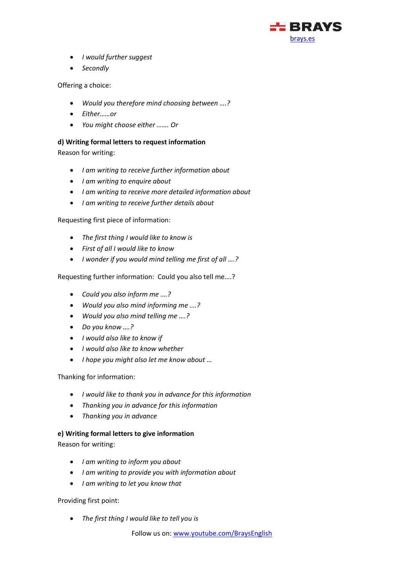

- *I would further suggest*
- *Secondly*

Offering a choice:

- *Would you therefore mind choosing between ….?*
- *Either……or*
- *You might choose either ……. Or*

# <span id="page-10-0"></span>**d) Writing formal letters to request information**

Reason for writing:

- *I am writing to receive further information about*
- *I am writing to enquire about*
- *I am writing to receive more detailed information about*
- *I am writing to receive further details about*

Requesting first piece of information:

- *The first thing I would like to know is*
- *First of all I would like to know*
- *I wonder if you would mind telling me first of all ….?*

Requesting further information: Could you also tell me….?

- *Could you also inform me ….?*
- *Would you also mind informing me ….?*
- *Would you also mind telling me ….?*
- *Do you know ….?*
- *I would also like to know if*
- *I would also like to know whether*
- *I hope you might also let me know about …*

# Thanking for information:

- *I would like to thank you in advance for this information*
- *Thanking you in advance for this information*
- *Thanking you in advance*

# <span id="page-10-1"></span>**e) Writing formal letters to give information**

Reason for writing:

- *I am writing to inform you about*
- *I am writing to provide you with information about*
- *I am writing to let you know that*

Providing first point:

• *The first thing I would like to tell you is*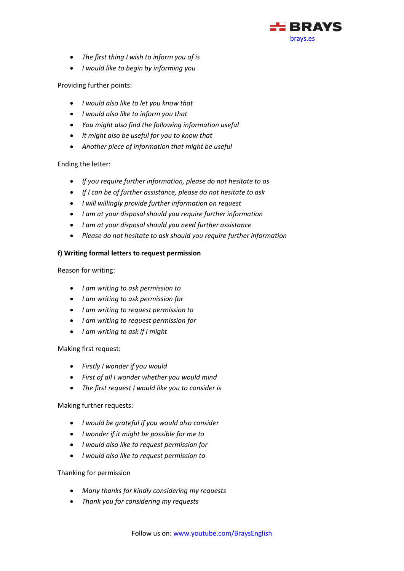

- *The first thing I wish to inform you of is*
- *I would like to begin by informing you*

# Providing further points:

- *I would also like to let you know that*
- *I would also like to inform you that*
- *You might also find the following information useful*
- *It might also be useful for you to know that*
- *Another piece of information that might be useful*

# Ending the letter:

- *If you require further information, please do not hesitate to as*
- *If I can be of further assistance, please do not hesitate to ask*
- *I will willingly provide further information on request*
- *I am at your disposal should you require further information*
- *I am at your disposal should you need further assistance*
- *Please do not hesitate to ask should you require further information*

# **f) Writing formal letters to request permission**

Reason for writing:

- *I am writing to ask permission to*
- *I am writing to ask permission for*
- *I am writing to request permission to*
- *I am writing to request permission for*
- *I am writing to ask if I might*

Making first request:

- *Firstly I wonder if you would*
- *First of all I wonder whether you would mind*
- *The first request I would like you to consider is*

#### Making further requests:

- *I would be grateful if you would also consider*
- *I wonder if it might be possible for me to*
- *I would also like to request permission for*
- *I would also like to request permission to*

#### Thanking for permission

- *Many thanks for kindly considering my requests*
- *Thank you for considering my requests*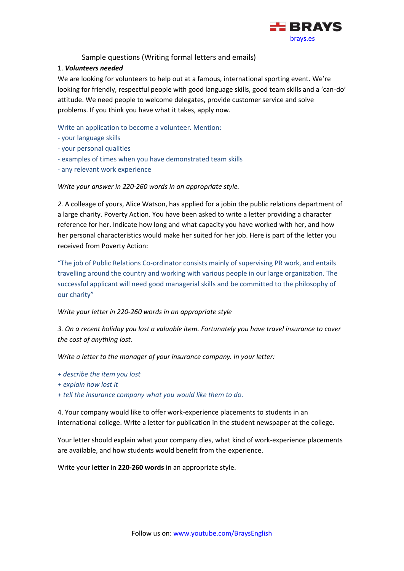

# Sample questions (Writing formal letters and emails)

### <span id="page-12-0"></span>1. *Volunteers needed*

We are looking for volunteers to help out at a famous, international sporting event. We're looking for friendly, respectful people with good language skills, good team skills and a 'can-do' attitude. We need people to welcome delegates, provide customer service and solve problems. If you think you have what it takes, apply now.

Write an application to become a volunteer. Mention:

- your language skills
- your personal qualities
- examples of times when you have demonstrated team skills
- any relevant work experience

*Write your answer in 220-260 words in an appropriate style.*

*2.* A colleage of yours, Alice Watson, has applied for a jobin the public relations department of a large charity. Poverty Action. You have been asked to write a letter providing a character reference for her. Indicate how long and what capacity you have worked with her, and how her personal characteristics would make her suited for her job. Here is part of the letter you received from Poverty Action:

"The job of Public Relations Co-ordinator consists mainly of supervising PR work, and entails travelling around the country and working with various people in our large organization. The successful applicant will need good managerial skills and be committed to the philosophy of our charity"

*Write your letter in 220-260 words in an appropriate style*

*3. On a recent holiday you lost a valuable item. Fortunately you have travel insurance to cover the cost of anything lost.*

*Write a letter to the manager of your insurance company. In your letter:*

- *+ describe the item you lost*
- *+ explain how lost it*
- *+ tell the insurance company what you would like them to do.*

4. Your company would like to offer work-experience placements to students in an international college. Write a letter for publication in the student newspaper at the college.

Your letter should explain what your company dies, what kind of work-experience placements are available, and how students would benefit from the experience.

Write your **letter** in **220-260 words** in an appropriate style.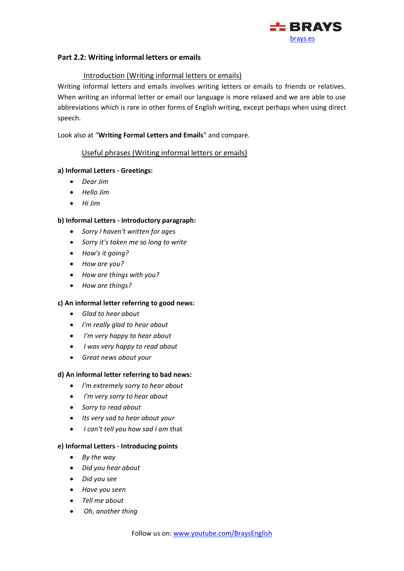

# <span id="page-13-0"></span>**Part 2.2: Writing informal letters or emails**

## <span id="page-13-1"></span>Introduction (Writing informal letters or emails)

Writing informal letters and emails involves writing letters or emails to friends or relatives. When writing an informal letter or email our language is more relaxed and we are able to use abbreviations which is rare in other forms of English writing, except perhaps when using direct speech.

<span id="page-13-2"></span>Look also at "**Writing Formal Letters and Emails**" and compare.

## Useful phrases (Writing informal letters or emails)

## <span id="page-13-3"></span>**a) Informal Letters - Greetings:**

- *Dear Jim*
- *Hello Jim*
- *Hi Jim*

## <span id="page-13-4"></span>**b) Informal Letters - Introductory paragraph:**

- *Sorry I haven't written for ages*
- *Sorry it's taken me so long to write*
- *How's it going?*
- *How are you?*
- *How are things with you?*
- *How are things?*

#### <span id="page-13-5"></span>**c) An informal letter referring to good news:**

- *Glad to hear about*
- *I'm really glad to hear about*
- *I'm very happy to hear about*
- *I was very happy to read about*
- *Great news about your*

#### <span id="page-13-6"></span>**d) An informal letter referring to bad news:**

- *I'm extremely sorry to hear about*
- *I'm very sorry to hear about*
- *Sorry to read about*
- *Its very sad to hear about your*
- *I can't tell you how sad I am* that

#### <span id="page-13-7"></span>**e) Informal Letters - Introducing points**

- *By the way*
- *Did you hear about*
- *Did you see*
- *Have you seen*
- *Tell me about*
- *Oh, another thing*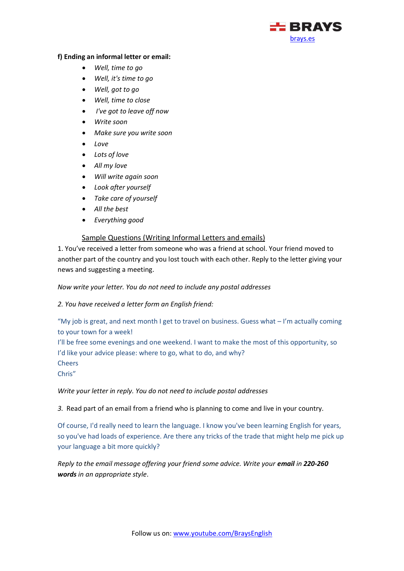

## <span id="page-14-0"></span>**f) Ending an informal letter or email:**

- *Well, time to go*
- *Well, it's time to go*
- *Well, got to go*
- *Well, time to close*
- *I've got to leave off now*
- *Write soon*
- *Make sure you write soon*
- *Love*
- *Lots of love*
- *All my love*
- *Will write again soon*
- *Look after yourself*
- *Take care of yourself*
- *All the best*
- *Everything good*

# Sample Questions (Writing Informal Letters and emails)

<span id="page-14-1"></span>1. You've received a letter from someone who was a friend at school. Your friend moved to another part of the country and you lost touch with each other. Reply to the letter giving your news and suggesting a meeting.

## *Now write your letter. You do not need to include any postal addresses*

*2. You have received a letter form an English friend:*

"My job is great, and next month I get to travel on business. Guess what – I'm actually coming to your town for a week!

I'll be free some evenings and one weekend. I want to make the most of this opportunity, so I'd like your advice please: where to go, what to do, and why? **Cheers** 

Chris"

*Write your letter in reply. You do not need to include postal addresses*

*3.* Read part of an email from a friend who is planning to come and live in your country.

Of course, I'd really need to learn the language. I know you've been learning English for years, so you've had loads of experience. Are there any tricks of the trade that might help me pick up your language a bit more quickly?

*Reply to the email message offering your friend some advice. Write your email in 220-260 words in an appropriate style*.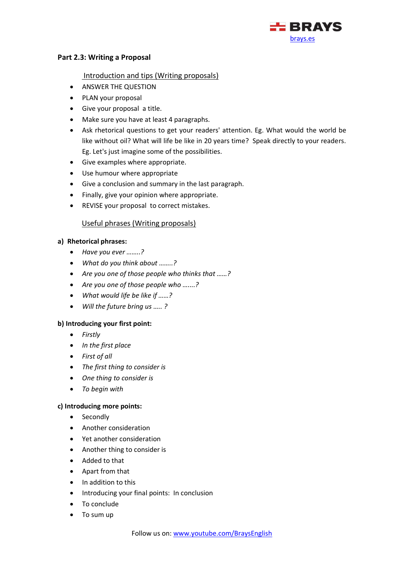

## <span id="page-15-0"></span>**Part 2.3: Writing a Proposal**

### <span id="page-15-1"></span>Introduction and tips (Writing proposals)

- ANSWER THE QUESTION
- PLAN your proposal
- Give your proposal a title.
- Make sure you have at least 4 paragraphs.
- Ask rhetorical questions to get your readers' attention. Eg. What would the world be like without oil? What will life be like in 20 years time? Speak directly to your readers. Eg. Let's just imagine some of the possibilities.
- Give examples where appropriate.
- Use humour where appropriate
- Give a conclusion and summary in the last paragraph.
- Finally, give your opinion where appropriate.
- REVISE your proposal to correct mistakes.

# Useful phrases (Writing proposals)

## <span id="page-15-3"></span><span id="page-15-2"></span>**a) Rhetorical phrases:**

- *Have you ever ……..?*
- *What do you think about ……..?*
- *Are you one of those people who thinks that ……?*
- *Are you one of those people who …....?*
- *What would life be like if ……?*
- *Will the future bring us ….. ?*

# <span id="page-15-4"></span>**b) Introducing your first point:**

- *Firstly*
- *In the first place*
- *First of all*
- *The first thing to consider is*
- *One thing to consider is*
- *To begin with*

#### <span id="page-15-5"></span>**c) Introducing more points:**

- Secondly
- Another consideration
- Yet another consideration
- Another thing to consider is
- Added to that
- Apart from that
- In addition to this
- Introducing your final points: In conclusion
- To conclude
- To sum up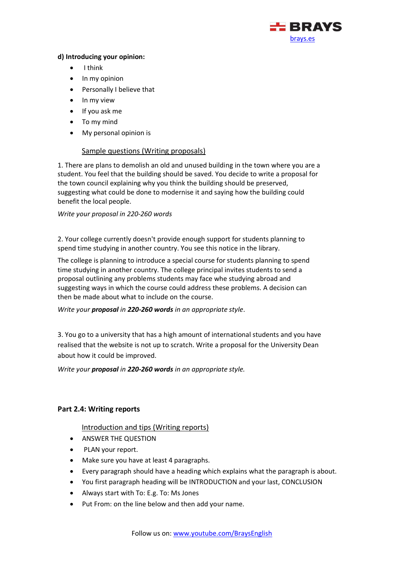

# <span id="page-16-0"></span>**d) Introducing your opinion:**

- I think
- In my opinion
- Personally I believe that
- In my view
- If you ask me
- To my mind
- My personal opinion is

# Sample questions (Writing proposals)

<span id="page-16-1"></span>1. There are plans to demolish an old and unused building in the town where you are a student. You feel that the building should be saved. You decide to write a proposal for the town council explaining why you think the building should be preserved, suggesting what could be done to modernise it and saying how the building could benefit the local people.

#### *Write your proposal in 220-260 words*

2. Your college currently doesn't provide enough support for students planning to spend time studying in another country. You see this notice in the library.

The college is planning to introduce a special course for students planning to spend time studying in another country. The college principal invites students to send a proposal outlining any problems students may face whe studying abroad and suggesting ways in which the course could address these problems. A decision can then be made about what to include on the course.

*Write your proposal in 220-260 words in an appropriate style*.

3. You go to a university that has a high amount of international students and you have realised that the website is not up to scratch. Write a proposal for the University Dean about how it could be improved.

*Write your proposal in 220-260 words in an appropriate style.*

# <span id="page-16-3"></span><span id="page-16-2"></span>**Part 2.4: Writing reports**

# Introduction and tips (Writing reports)

- ANSWER THE QUESTION
- PLAN your report.
- Make sure you have at least 4 paragraphs.
- Every paragraph should have a heading which explains what the paragraph is about.
- You first paragraph heading will be INTRODUCTION and your last, CONCLUSION
- Always start with To: E.g. To: Ms Jones
- Put From: on the line below and then add your name.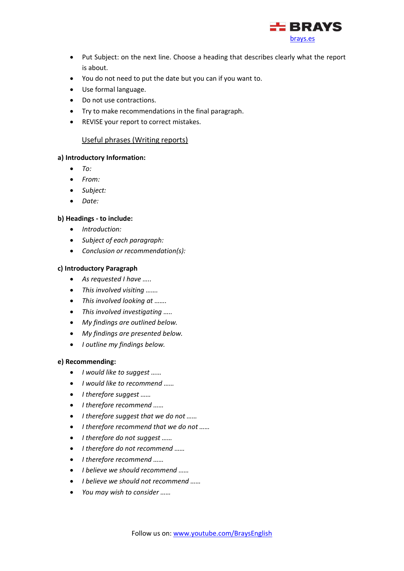

- Put Subject: on the next line. Choose a heading that describes clearly what the report is about.
- You do not need to put the date but you can if you want to.
- Use formal language.
- Do not use contractions.
- Try to make recommendations in the final paragraph.
- REVISE your report to correct mistakes.

### Useful phrases (Writing reports)

#### <span id="page-17-1"></span><span id="page-17-0"></span>**a) Introductory Information:**

- *To:*
- *From:*
- *Subject:*
- *Date:*

#### <span id="page-17-2"></span>**b) Headings - to include:**

- *Introduction:*
- *Subject of each paragraph:*
- *Conclusion or recommendation(s):*

#### <span id="page-17-3"></span>**c) Introductory Paragraph**

- *As requested I have …..*
- *This involved visiting …….*
- *This involved looking at …….*
- *This involved investigating …..*
- *My findings are outlined below.*
- *My findings are presented below.*
- *I outline my findings below.*

#### <span id="page-17-4"></span>**e) Recommending:**

- *I would like to suggest ……*
- *I would like to recommend ……*
- *I therefore suggest ……*
- *I therefore recommend ……*
- *I therefore suggest that we do not ……*
- *I therefore recommend that we do not ……*
- *I therefore do not suggest ……*
- *I therefore do not recommend ……*
- *I therefore recommend ……*
- *I believe we should recommend ……*
- *I believe we should not recommend ……*
- *You may wish to consider ……*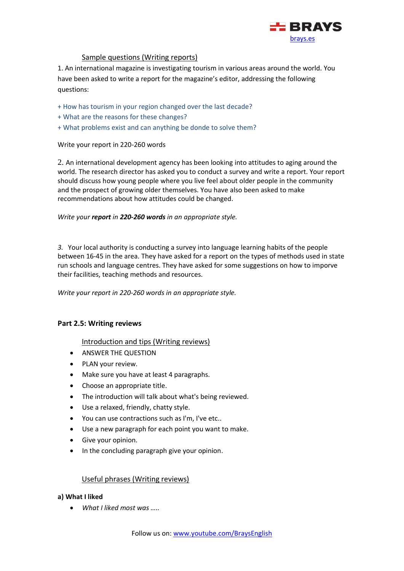

## Sample questions (Writing reports)

<span id="page-18-0"></span>1. An international magazine is investigating tourism in various areas around the world. You have been asked to write a report for the magazine's editor, addressing the following questions:

- + How has tourism in your region changed over the last decade?
- + What are the reasons for these changes?
- + What problems exist and can anything be donde to solve them?

Write your report in 220-260 words

2. An international development agency has been looking into attitudes to aging around the world. The research director has asked you to conduct a survey and write a report. Your report should discuss how young people where you live feel about older people in the community and the prospect of growing older themselves. You have also been asked to make recommendations about how attitudes could be changed.

*Write your report in 220-260 words in an appropriate style.*

*3.* Your local authority is conducting a survey into language learning habits of the people between 16-45 in the area. They have asked for a report on the types of methods used in state run schools and language centres. They have asked for some suggestions on how to imporve their facilities, teaching methods and resources.

*Write your report in 220-260 words in an appropriate style.*

#### <span id="page-18-2"></span><span id="page-18-1"></span>**Part 2.5: Writing reviews**

#### Introduction and tips (Writing reviews)

- ANSWER THE QUESTION
- PLAN your review.
- Make sure you have at least 4 paragraphs.
- Choose an appropriate title.
- The introduction will talk about what's being reviewed.
- Use a relaxed, friendly, chatty style.
- You can use contractions such as I'm, I've etc..
- Use a new paragraph for each point you want to make.
- Give your opinion.
- In the concluding paragraph give your opinion.

#### Useful phrases (Writing reviews)

#### <span id="page-18-4"></span><span id="page-18-3"></span>**a) What I liked**

• *What I liked most was …..*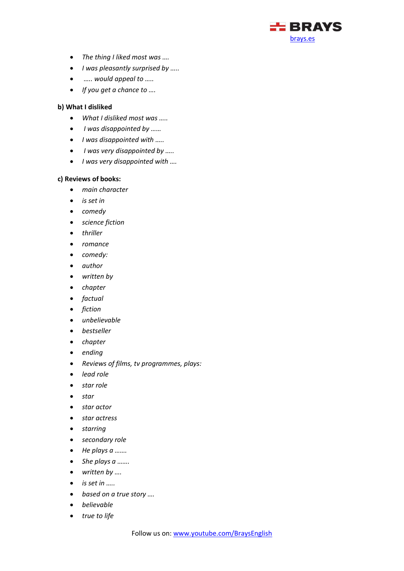

- *The thing I liked most was ….*
- *I was pleasantly surprised by …..*
- *….. would appeal to …..*
- *If you get a chance to ….*

### <span id="page-19-0"></span>**b) What I disliked**

- *What I disliked most was …..*
- *I was disappointed by ……*
- *I was disappointed with …..*
- *I was very disappointed by …..*
- *I was very disappointed with ….*

#### <span id="page-19-1"></span>**c) Reviews of books:**

- *main character*
- *is set in*
- *comedy*
- *science fiction*
- *thriller*
- *romance*
- *comedy:*
- *author*
- *written by*
- *chapter*
- *factual*
- *fiction*
- *unbelievable*
- *bestseller*
- *chapter*
- *ending*
- *Reviews of films, tv programmes, plays:*
- *lead role*
- *star role*
- *star*
- *star actor*
- *star actress*
- *starring*
- *secondary role*
- *He plays a …….*
- *She plays a …….*
- *written by ….*
- *is set in …..*
- *based on a true story ….*
- *believable*
- *true to life*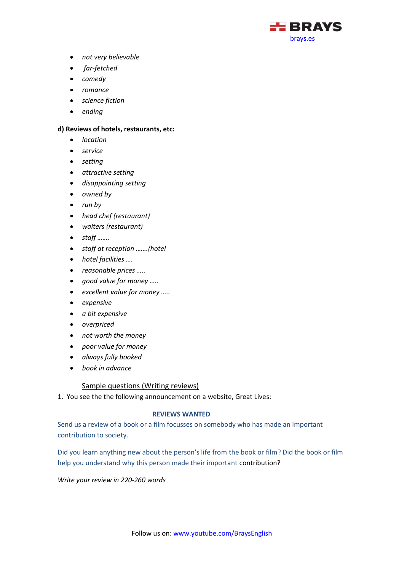

- *not very believable*
- *far-fetched*
- *comedy*
- *romance*
- *science fiction*
- *ending*

#### <span id="page-20-0"></span>**d) Reviews of hotels, restaurants, etc:**

- *location*
- *service*
- *setting*
- *attractive setting*
- *disappointing setting*
- *owned by*
- *run by*
- *head chef (restaurant)*
- *waiters (restaurant)*
- *staff …….*
- *staff at reception …….(hotel*
- *hotel facilities ….*
- *reasonable prices …..*
- *good value for money …..*
- *excellent value for money …..*
- *expensive*
- *a bit expensive*
- *overpriced*
- *not worth the money*
- *poor value for money*
- *always fully booked*
- *book in advance*

#### Sample questions (Writing reviews)

<span id="page-20-1"></span>1. You see the the following announcement on a website, Great Lives:

## **REVIEWS WANTED**

Send us a review of a book or a film focusses on somebody who has made an important contribution to society.

Did you learn anything new about the person's life from the book or film? Did the book or film help you understand why this person made their important contribution?

*Write your review in 220-260 words*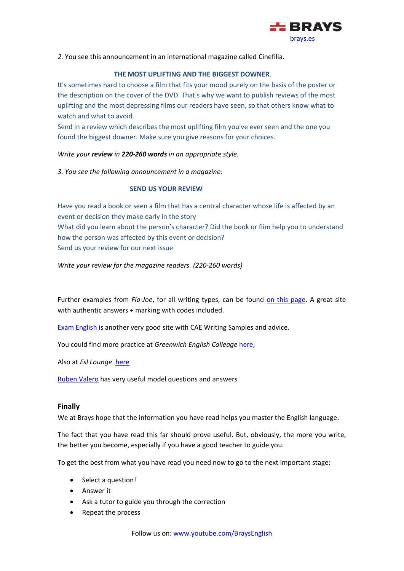

*2.* You see this announcement in an international magazine called Cinefilia.

## **THE MOST UPLIFTING AND THE BIGGEST DOWNER**.

It's sometimes hard to choose a film that fits your mood purely on the basis of the poster or the description on the cover of the DVD. That's why we want to publish reviews of the most uplifting and the most depressing films our readers have seen, so that others know what to watch and what to avoid.

Send in a review which describes the most uplifting film you've ever seen and the one you found the biggest downer. Make sure you give reasons for your choices.

*Write your review in 220-260 words in an appropriate style.*

*3. You see the following announcement in a magazine:*

## **SEND US YOUR REVIEW**

Have you read a book or seen a film that has a central character whose life is affected by an event or decision they make early in the story What did you learn about the person's character? Did the book or flim help you to understand how the person was affected by this event or decision? Send us your review for our next issue

*Write your review for the magazine readers. (220-260 words)*

Further examples from *Flo-Joe*, for all writing types, can be found [on this page.](https://www.flo-joe.co.uk/cae/students/writing/makeover/archive.htm) A great site with authentic answers + marking with codes included.

[Exam English](https://www.examenglish.com/CAE/cae_writing.html) is another very good site with CAE Writing Samples and advice.

You could find more practice at *Greenwich English Colleage* [here,](https://www.greenwichcollege.edu.au/cambridge-cae-wriiting-task-1)

Also at *Esl Lounge* [here](http://www.esl-lounge.com/student/advanced-writing.php)

[Ruben Valero](http://www.rubenvalero.com/english/content/writing-corner-fce-cae) has very useful model questions and answers

### <span id="page-21-0"></span>**Finally**

We at Brays hope that the information you have read helps you master the English language.

The fact that you have read this far should prove useful. But, obviously, the more you write, the better you become, especially if you have a good teacher to guide you.

To get the best from what you have read you need now to go to the next important stage:

- Select a question!
- Answer it
- Ask a tutor to guide you through the correction
- Repeat the process